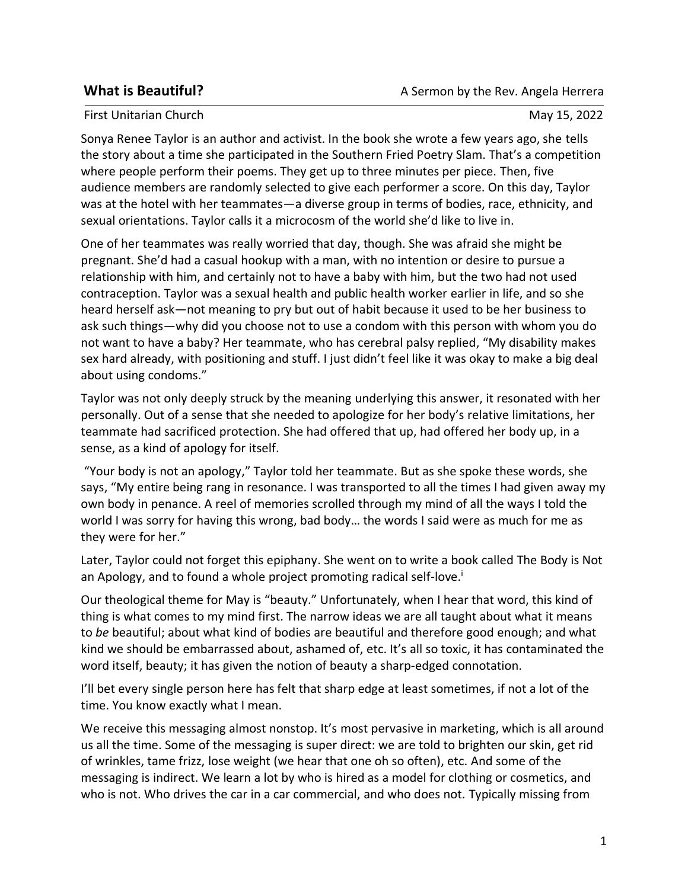## First Unitarian Church May 15, 2022

Sonya Renee Taylor is an author and activist. In the book she wrote a few years ago, she tells the story about a time she participated in the Southern Fried Poetry Slam. That's a competition where people perform their poems. They get up to three minutes per piece. Then, five audience members are randomly selected to give each performer a score. On this day, Taylor was at the hotel with her teammates—a diverse group in terms of bodies, race, ethnicity, and sexual orientations. Taylor calls it a microcosm of the world she'd like to live in.

One of her teammates was really worried that day, though. She was afraid she might be pregnant. She'd had a casual hookup with a man, with no intention or desire to pursue a relationship with him, and certainly not to have a baby with him, but the two had not used contraception. Taylor was a sexual health and public health worker earlier in life, and so she heard herself ask—not meaning to pry but out of habit because it used to be her business to ask such things—why did you choose not to use a condom with this person with whom you do not want to have a baby? Her teammate, who has cerebral palsy replied, "My disability makes sex hard already, with positioning and stuff. I just didn't feel like it was okay to make a big deal about using condoms."

Taylor was not only deeply struck by the meaning underlying this answer, it resonated with her personally. Out of a sense that she needed to apologize for her body's relative limitations, her teammate had sacrificed protection. She had offered that up, had offered her body up, in a sense, as a kind of apology for itself.

"Your body is not an apology," Taylor told her teammate. But as she spoke these words, she says, "My entire being rang in resonance. I was transported to all the times I had given away my own body in penance. A reel of memories scrolled through my mind of all the ways I told the world I was sorry for having this wrong, bad body… the words I said were as much for me as they were for her."

Later, Taylor could not forget this epiphany. She went on to write a book called The Body is Not an Apology, and to found a whole project promoting radical self-love.<sup>i</sup>

Our theological theme for May is "beauty." Unfortunately, when I hear that word, this kind of thing is what comes to my mind first. The narrow ideas we are all taught about what it means to *be* beautiful; about what kind of bodies are beautiful and therefore good enough; and what kind we should be embarrassed about, ashamed of, etc. It's all so toxic, it has contaminated the word itself, beauty; it has given the notion of beauty a sharp-edged connotation.

I'll bet every single person here has felt that sharp edge at least sometimes, if not a lot of the time. You know exactly what I mean.

We receive this messaging almost nonstop. It's most pervasive in marketing, which is all around us all the time. Some of the messaging is super direct: we are told to brighten our skin, get rid of wrinkles, tame frizz, lose weight (we hear that one oh so often), etc. And some of the messaging is indirect. We learn a lot by who is hired as a model for clothing or cosmetics, and who is not. Who drives the car in a car commercial, and who does not. Typically missing from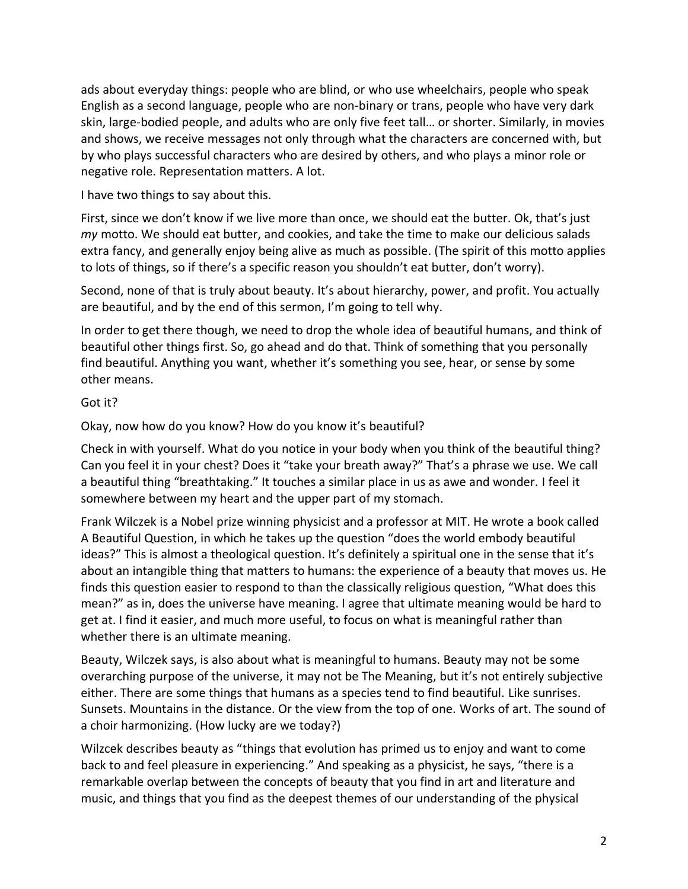ads about everyday things: people who are blind, or who use wheelchairs, people who speak English as a second language, people who are non-binary or trans, people who have very dark skin, large-bodied people, and adults who are only five feet tall… or shorter. Similarly, in movies and shows, we receive messages not only through what the characters are concerned with, but by who plays successful characters who are desired by others, and who plays a minor role or negative role. Representation matters. A lot.

I have two things to say about this.

First, since we don't know if we live more than once, we should eat the butter. Ok, that's just *my* motto. We should eat butter, and cookies, and take the time to make our delicious salads extra fancy, and generally enjoy being alive as much as possible. (The spirit of this motto applies to lots of things, so if there's a specific reason you shouldn't eat butter, don't worry).

Second, none of that is truly about beauty. It's about hierarchy, power, and profit. You actually are beautiful, and by the end of this sermon, I'm going to tell why.

In order to get there though, we need to drop the whole idea of beautiful humans, and think of beautiful other things first. So, go ahead and do that. Think of something that you personally find beautiful. Anything you want, whether it's something you see, hear, or sense by some other means.

## Got it?

Okay, now how do you know? How do you know it's beautiful?

Check in with yourself. What do you notice in your body when you think of the beautiful thing? Can you feel it in your chest? Does it "take your breath away?" That's a phrase we use. We call a beautiful thing "breathtaking." It touches a similar place in us as awe and wonder. I feel it somewhere between my heart and the upper part of my stomach.

Frank Wilczek is a Nobel prize winning physicist and a professor at MIT. He wrote a book called A Beautiful Question, in which he takes up the question "does the world embody beautiful ideas?" This is almost a theological question. It's definitely a spiritual one in the sense that it's about an intangible thing that matters to humans: the experience of a beauty that moves us. He finds this question easier to respond to than the classically religious question, "What does this mean?" as in, does the universe have meaning. I agree that ultimate meaning would be hard to get at. I find it easier, and much more useful, to focus on what is meaningful rather than whether there is an ultimate meaning.

Beauty, Wilczek says, is also about what is meaningful to humans. Beauty may not be some overarching purpose of the universe, it may not be The Meaning, but it's not entirely subjective either. There are some things that humans as a species tend to find beautiful. Like sunrises. Sunsets. Mountains in the distance. Or the view from the top of one. Works of art. The sound of a choir harmonizing. (How lucky are we today?)

Wilzcek describes beauty as "things that evolution has primed us to enjoy and want to come back to and feel pleasure in experiencing." And speaking as a physicist, he says, "there is a remarkable overlap between the concepts of beauty that you find in art and literature and music, and things that you find as the deepest themes of our understanding of the physical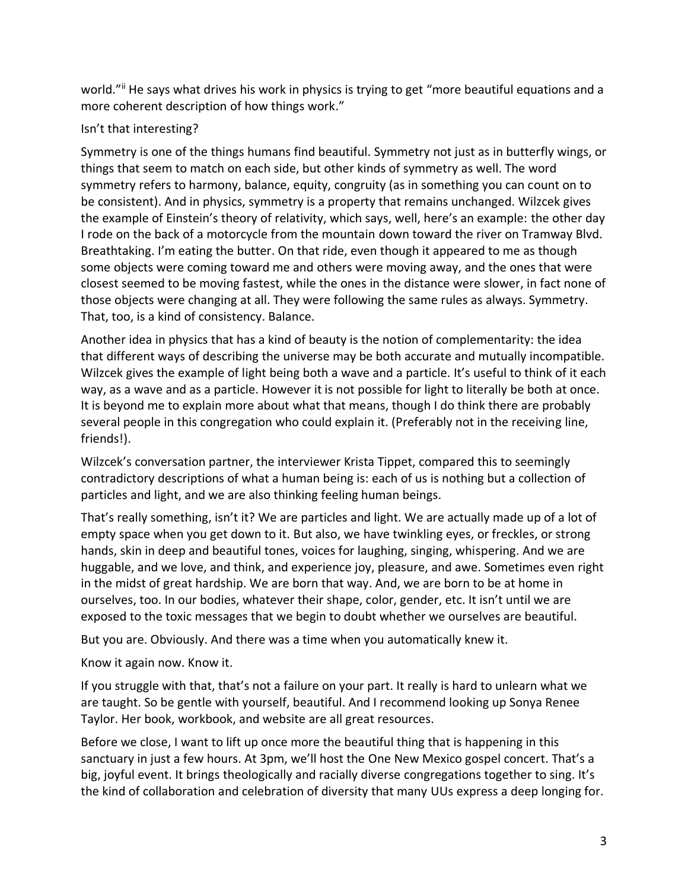world."ii He says what drives his work in physics is trying to get "more beautiful equations and a more coherent description of how things work."

## Isn't that interesting?

Symmetry is one of the things humans find beautiful. Symmetry not just as in butterfly wings, or things that seem to match on each side, but other kinds of symmetry as well. The word symmetry refers to harmony, balance, equity, congruity (as in something you can count on to be consistent). And in physics, symmetry is a property that remains unchanged. Wilzcek gives the example of Einstein's theory of relativity, which says, well, here's an example: the other day I rode on the back of a motorcycle from the mountain down toward the river on Tramway Blvd. Breathtaking. I'm eating the butter. On that ride, even though it appeared to me as though some objects were coming toward me and others were moving away, and the ones that were closest seemed to be moving fastest, while the ones in the distance were slower, in fact none of those objects were changing at all. They were following the same rules as always. Symmetry. That, too, is a kind of consistency. Balance.

Another idea in physics that has a kind of beauty is the notion of complementarity: the idea that different ways of describing the universe may be both accurate and mutually incompatible. Wilzcek gives the example of light being both a wave and a particle. It's useful to think of it each way, as a wave and as a particle. However it is not possible for light to literally be both at once. It is beyond me to explain more about what that means, though I do think there are probably several people in this congregation who could explain it. (Preferably not in the receiving line, friends!).

Wilzcek's conversation partner, the interviewer Krista Tippet, compared this to seemingly contradictory descriptions of what a human being is: each of us is nothing but a collection of particles and light, and we are also thinking feeling human beings.

That's really something, isn't it? We are particles and light. We are actually made up of a lot of empty space when you get down to it. But also, we have twinkling eyes, or freckles, or strong hands, skin in deep and beautiful tones, voices for laughing, singing, whispering. And we are huggable, and we love, and think, and experience joy, pleasure, and awe. Sometimes even right in the midst of great hardship. We are born that way. And, we are born to be at home in ourselves, too. In our bodies, whatever their shape, color, gender, etc. It isn't until we are exposed to the toxic messages that we begin to doubt whether we ourselves are beautiful.

But you are. Obviously. And there was a time when you automatically knew it.

Know it again now. Know it.

If you struggle with that, that's not a failure on your part. It really is hard to unlearn what we are taught. So be gentle with yourself, beautiful. And I recommend looking up Sonya Renee Taylor. Her book, workbook, and website are all great resources.

Before we close, I want to lift up once more the beautiful thing that is happening in this sanctuary in just a few hours. At 3pm, we'll host the One New Mexico gospel concert. That's a big, joyful event. It brings theologically and racially diverse congregations together to sing. It's the kind of collaboration and celebration of diversity that many UUs express a deep longing for.